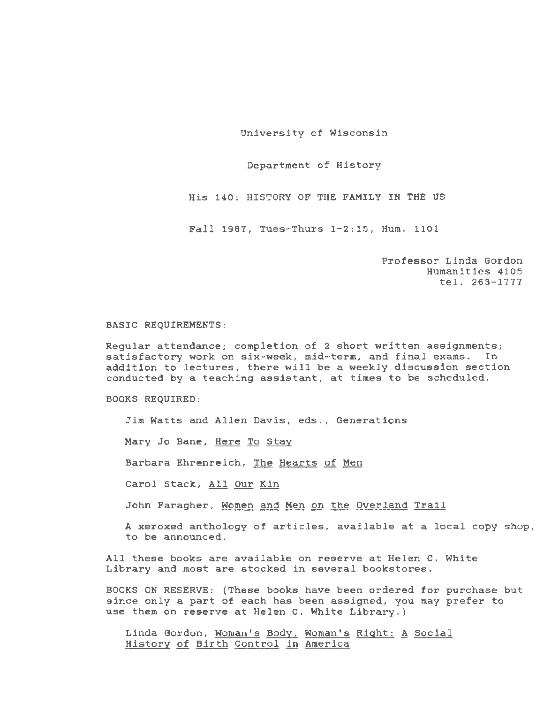University of Wisconsin

Department of History

His 140: HISTORY OF THE FAMILY IN THE US

Fall 1987, Tues-Thurs 1-2:15, Hum. 1101

Professor Linda Gordon Humanities 4105 tel. 263-1777

## BASIC REQUIREMENTS:

Regular attendance; completion of 2 short written assignments; satisfactory work on six-week, mid-term, and final exams. In addition to lectures, there will be a weekly discussion section conducted by a teaching assistant, at times to be scheduled .

BOOKS REQUIRED:

Jim Watts and Allen Davis, eds., Generations

Mary Jo Bane, Here To Stay

Barbara Ehrenreich, The Hearts of Men

Carol Stack, *All* Our Kin

John Faragher, Women and Men on the Overland Trail

A xeroxed anthology of articles, available at a local copy shop, to be announced.

*All* these books are available on reserve at Helen C. White Library and most are stocked in several bookstores.

BOOKS ON RESERVE: (These books have been ordered for purchase but since only a part of each has been assigned, you may prefer to use them on reserve at Helen C. White Library.)

Linda Gordon, Woman's Body, Woman's Right: A Social History of Birth Control *in* America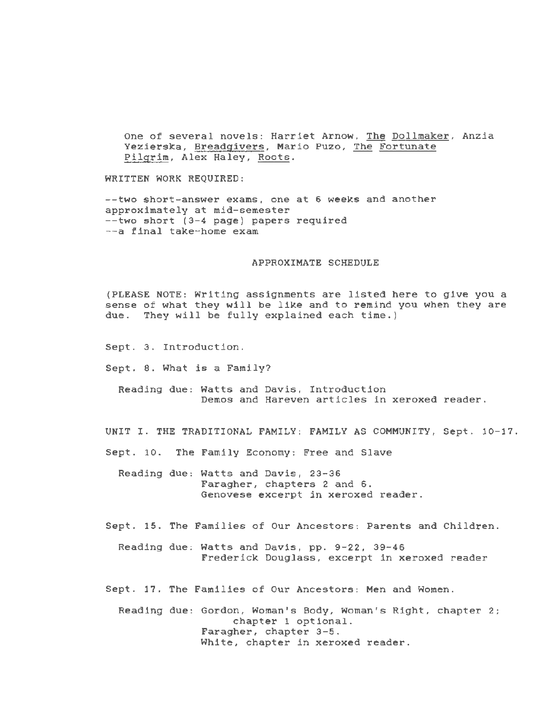One of several novels: Harriet Arnow, The Dollmaker, Anzia Yezierska, Breadgivers, Mario Puzo, The Fortunate Pilgrim, Alex Haley, Roots.

WRITTEN WORK REQUIRED:

--two short-answer exams, one at 6 weeks and another approximately at mid-semester --two short (3-4 page) papers required --a final take-home exam

## APPROXIMATE SCHEDULE

(PLEASE NOTE: Writing assignments are listed here to give you a sense of what they will be like and to remind you when they are due. They will be fully explained each time.)

Sept. 3. Introduction.

Sept. 8. What is a Family?

Reading due: Watts and Davis, Introduction Demos and Hareven articles in xeroxed reader.

UNIT I. THE TRADITIONAL FAMILY: FAMILY AS COMMUNITY, Sept. 10-17.

Sept. 10. The Family Economy: Free and Slave

Reading due: Watts and Davis, 23-36 Faragher, chapters 2 and 6. Genovese excerpt in xeroxed reader.

Sept. 15. The Families of Our Ancestors: Parents and Children .

Reading due: Watts and Davis, pp. 9-22, 39-46 Frederick Douglass, excerpt in xeroxed reader

Sept. 17. The Families of Our Ancestors: Men and Women.

Reading due: Gordon, Woman's Body, Woman's Right, chapter 2; chapter 1 optional. Faragher, chapter 3-5. White, chapter in xeroxed reader.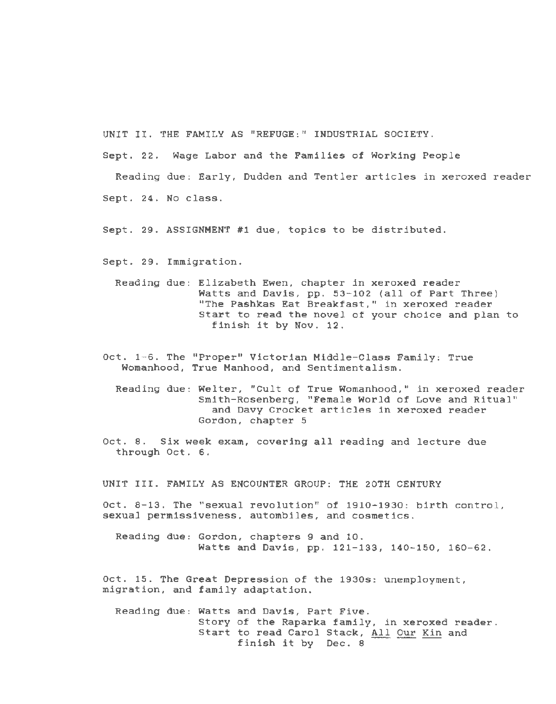UNIT II. THE FAMILY AS "REFUGE:" INDUSTRIAL SOCIETY.

Sept. 22. Wage Labor and the Families of Working People

Reading due: Early, Dudden and Tentler articles in xeroxed reader Sept. 24. No class.

Sept. 29. ASSIGNMENT #1 due, topics to be distributed.

Sept. 29. Immigration.

Reading due: Elizabeth Ewen, chapter in xeroxed reader Watts and Davis, pp. 53-102 (all of Part Three) "The Pashkas Eat Breakfast," in xeroxed reader Start to read the novel of your choice and plan to finish it by Nov. 12.

Oct. 1-6. The "Proper" Victorian Middle-Class Family: True Womanhood, True Manhood, and Sentimentalism.

Reading due: Welter, "Cult of True Womanhood," in xeroxed reader Smith-Rosenberg, "Female World of Love and Ritual" and Davy Crocket articles in xeroxed reader Gordon, chapter 5

Oct. 8. Six week exam, covering all reading and lecture due through Oct. 6.

UNIT III. FAMILY AS ENCOUNTER GROUP: THE 20TH CENTURY

Oct. 8-13. The "sexual revolution" of 1910-1930: birth control, sexual permissiveness, autombiles, and cosmetics.

Reading due: Gordon, chapters 9 and 10. Watts and Davis, pp. 121-133, 140-150, 160-62.

Oct. 15. The Great Depression of the 1930s: unemployment, migration, and family adaptation.

Reading due: Watts and Davis, Part Five. Story of the Raparka family, in xeroxed reader . Start to read Carol Stack, All Our Kin and finish it by Dec. 8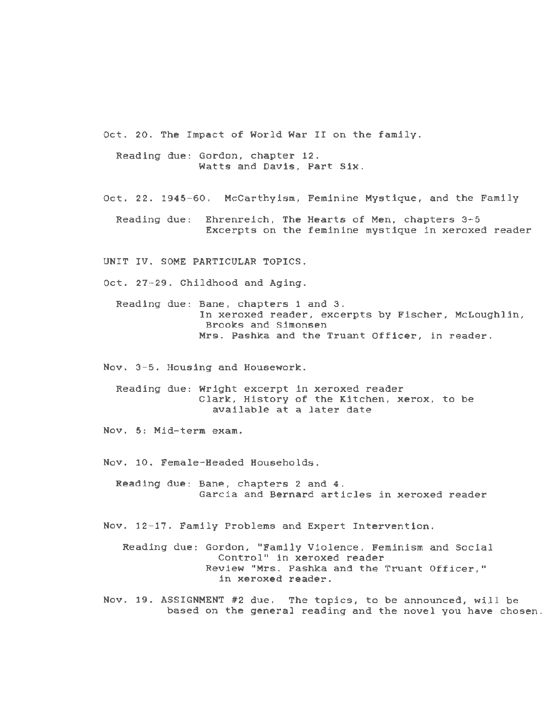Oct. 20. The Impact of World War II on the family.

Reading due: Gordon, chapter 12. Watts and Davis, Part Six.

Oct. 22. 1945-60. McCarthyism, Feminine Mystique, and the Family

Reading due: Ehrenreich, The Hearts of Men, chapters 3-5 Excerpts on the feminine mystique in xeroxed reader

UNIT IV. SOME PARTICULAR TOPICS.

Oct. 27-29. Childhood and Aging.

Reading due: Bane, chapters 1 and 3. In xeroxed reader, excerpts by Fischer, McLoughlin, Brooks and Simonsen Mrs. Pashka and the Truant Officer, in reader.

Nov. 3-5. Housing and Housework.

Reading due: Wright excerpt in xeroxed reader Clark, History of the Kitchen, xerox, to be available at a later date

Nov. 5: Mid-term exam.

Nov. 10. Female-Headed Households.

Reading due: Bane, chapters 2 and 4. Garcia and Bernard articles in xeroxed reader

Nov. 12-17. Family Problems and Expert Intervention.

Reading due: Gordon, "Family Violence, Feminism and Social Control" in xeroxed reader Review "Mrs. Pashka and the Truant Officer," in xeroxed reader.

Nov. 19. ASSIGNMENT #2 due. The topics, to be announced, will be based on the general reading and the novel you have chosen.